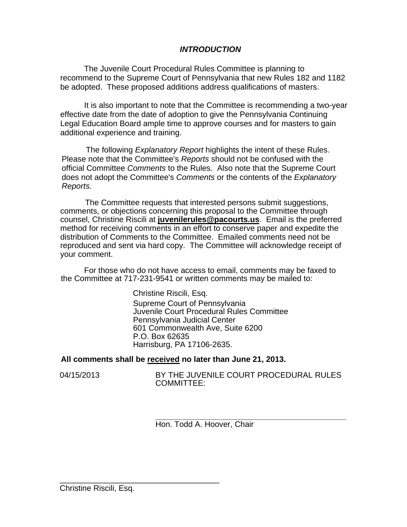## *INTRODUCTION*

The Juvenile Court Procedural Rules Committee is planning to recommend to the Supreme Court of Pennsylvania that new Rules 182 and 1182 be adopted. These proposed additions address qualifications of masters.

It is also important to note that the Committee is recommending a two-year effective date from the date of adoption to give the Pennsylvania Continuing Legal Education Board ample time to approve courses and for masters to gain additional experience and training.

The following *Explanatory Report* highlights the intent of these Rules. Please note that the Committee's *Reports* should not be confused with the official Committee *Comments* to the Rules. Also note that the Supreme Court does not adopt the Committee's *Comments* or the contents of the *Explanatory Reports.* 

The Committee requests that interested persons submit suggestions, comments, or objections concerning this proposal to the Committee through counsel, Christine Riscili at **juvenilerules@pacourts.us**. Email is the preferred method for receiving comments in an effort to conserve paper and expedite the distribution of Comments to the Committee. Emailed comments need not be reproduced and sent via hard copy. The Committee will acknowledge receipt of your comment.

For those who do not have access to email, comments may be faxed to the Committee at 717-231-9541 or written comments may be mailed to:

> Christine Riscili, Esq. Supreme Court of Pennsylvania Juvenile Court Procedural Rules Committee Pennsylvania Judicial Center 601 Commonwealth Ave, Suite 6200 P.O. Box 62635 Harrisburg, PA 17106-2635.

#### **All comments shall be received no later than June 21, 2013.**

04/15/2013 BY THE JUVENILE COURT PROCEDURAL RULES COMMITTEE:

> **\_\_\_\_\_\_\_\_\_\_\_\_\_\_\_\_\_\_\_\_\_\_\_\_\_\_\_\_\_\_\_\_\_\_\_\_\_\_\_\_\_\_\_**  Hon. Todd A. Hoover, Chair

\_\_\_\_\_\_\_\_\_\_\_\_\_\_\_\_\_\_\_\_\_\_\_\_\_\_\_\_\_\_\_\_\_\_\_\_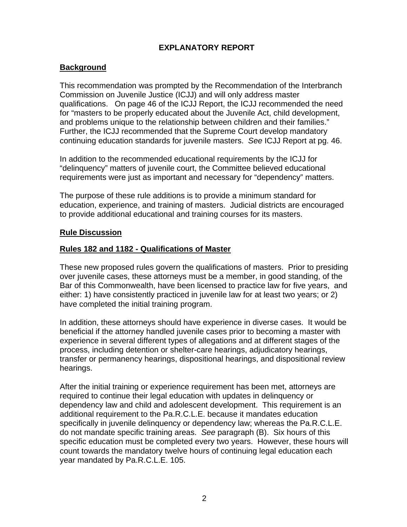# **EXPLANATORY REPORT**

## **Background**

This recommendation was prompted by the Recommendation of the Interbranch Commission on Juvenile Justice (ICJJ) and will only address master qualifications. On page 46 of the ICJJ Report, the ICJJ recommended the need for "masters to be properly educated about the Juvenile Act, child development, and problems unique to the relationship between children and their families." Further, the ICJJ recommended that the Supreme Court develop mandatory continuing education standards for juvenile masters. *See* ICJJ Report at pg. 46.

In addition to the recommended educational requirements by the ICJJ for "delinquency" matters of juvenile court, the Committee believed educational requirements were just as important and necessary for "dependency" matters.

The purpose of these rule additions is to provide a minimum standard for education, experience, and training of masters. Judicial districts are encouraged to provide additional educational and training courses for its masters.

### **Rule Discussion**

### **Rules 182 and 1182 - Qualifications of Master**

These new proposed rules govern the qualifications of masters. Prior to presiding over juvenile cases, these attorneys must be a member, in good standing, of the Bar of this Commonwealth, have been licensed to practice law for five years, and either: 1) have consistently practiced in juvenile law for at least two years; or 2) have completed the initial training program.

In addition, these attorneys should have experience in diverse cases. It would be beneficial if the attorney handled juvenile cases prior to becoming a master with experience in several different types of allegations and at different stages of the process, including detention or shelter-care hearings, adjudicatory hearings, transfer or permanency hearings, dispositional hearings, and dispositional review hearings.

After the initial training or experience requirement has been met, attorneys are required to continue their legal education with updates in delinquency or dependency law and child and adolescent development. This requirement is an additional requirement to the Pa.R.C.L.E. because it mandates education specifically in juvenile delinquency or dependency law; whereas the Pa.R.C.L.E. do not mandate specific training areas. *See* paragraph (B). Six hours of this specific education must be completed every two years. However, these hours will count towards the mandatory twelve hours of continuing legal education each year mandated by Pa.R.C.L.E. 105.